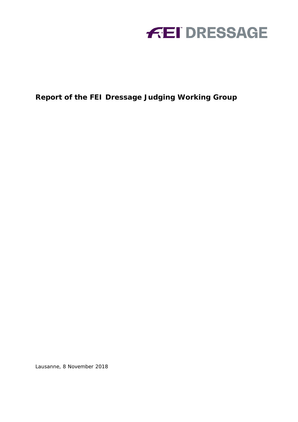

**Report of the FEI Dressage Judging Working Group**

Lausanne, 8 November 2018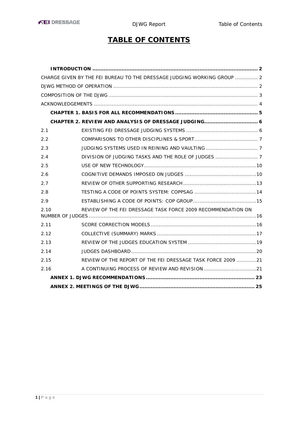# **TABLE OF CONTENTS**

|      | CHARGE GIVEN BY THE FEI BUREAU TO THE DRESSAGE JUDGING WORKING GROUP  2 |  |
|------|-------------------------------------------------------------------------|--|
|      |                                                                         |  |
|      |                                                                         |  |
|      |                                                                         |  |
|      |                                                                         |  |
|      |                                                                         |  |
| 2.1  |                                                                         |  |
| 2.2  |                                                                         |  |
| 2.3  |                                                                         |  |
| 2.4  |                                                                         |  |
| 2.5  |                                                                         |  |
| 2.6  |                                                                         |  |
| 2.7  |                                                                         |  |
| 2.8  |                                                                         |  |
| 2.9  |                                                                         |  |
| 2.10 | REVIEW OF THE FEI DRESSAGE TASK FORCE 2009 RECOMMENDATION ON            |  |
| 2.11 |                                                                         |  |
| 2.12 |                                                                         |  |
| 2.13 |                                                                         |  |
| 2.14 |                                                                         |  |
| 2.15 | REVIEW OF THE REPORT OF THE FEI DRESSAGE TASK FORCE 2009 21             |  |
| 2.16 | A CONTINUING PROCESS OF REVIEW AND REVISION 21                          |  |
|      |                                                                         |  |
|      |                                                                         |  |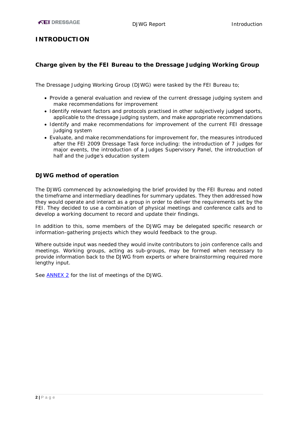## <span id="page-2-0"></span>**INTRODUCTION**

#### <span id="page-2-1"></span>**Charge given by the FEI Bureau to the Dressage Judging Working Group**

The Dressage Judging Working Group (DJWG) were tasked by the FEI Bureau to;

- Provide a general evaluation and review of the current dressage judging system and make recommendations for improvement
- Identify relevant factors and protocols practised in other subjectively judged sports, applicable to the dressage judging system, and make appropriate recommendations
- Identify and make recommendations for improvement of the current FEI dressage judging system
- Evaluate, and make recommendations for improvement for, the measures introduced after the FEI 2009 Dressage Task force including: the introduction of 7 judges for major events, the introduction of a Judges Supervisory Panel, the introduction of half and the judge's education system

#### <span id="page-2-2"></span>**DJWG method of operation**

The DJWG commenced by acknowledging the brief provided by the FEI Bureau and noted the timeframe and intermediary deadlines for summary updates. They then addressed how they would operate and interact as a group in order to deliver the requirements set by the FEI. They decided to use a combination of physical meetings and conference calls and to develop a working document to record and update their findings.

In addition to this, some members of the DJWG may be delegated specific research or information-gathering projects which they would feedback to the group.

Where outside input was needed they would invite contributors to join conference calls and meetings. Working groups, acting as sub-groups, may be formed when necessary to provide information back to the DJWG from experts or where brainstorming required more lengthy input.

See [ANNEX 2](#page-25-0) for the list of meetings of the DJWG.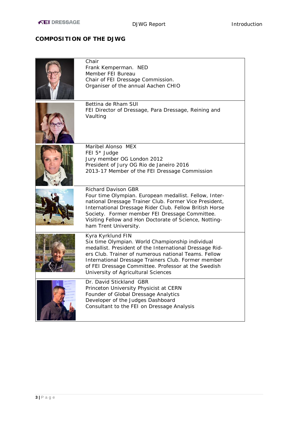## <span id="page-3-0"></span>**COMPOSITION OF THE DJWG**

| Chair<br>Frank Kemperman. NED<br>Member FEI Bureau<br>Chair of FEI Dressage Commission.<br>Organiser of the annual Aachen CHIO                                                                                                                                                                                                                 |
|------------------------------------------------------------------------------------------------------------------------------------------------------------------------------------------------------------------------------------------------------------------------------------------------------------------------------------------------|
| Bettina de Rham SUI<br>FEI Director of Dressage, Para Dressage, Reining and<br>Vaulting                                                                                                                                                                                                                                                        |
| Maribel Alonso MEX<br>FEI 5 <sup>*</sup> Judge<br>Jury member OG London 2012<br>President of Jury OG Rio de Janeiro 2016<br>2013-17 Member of the FEI Dressage Commission                                                                                                                                                                      |
| <b>Richard Davison GBR</b><br>Four time Olympian. European medallist. Fellow, Inter-<br>national Dressage Trainer Club. Former Vice President,<br>International Dressage Rider Club. Fellow British Horse<br>Society. Former member FEI Dressage Committee.<br>Visiting Fellow and Hon Doctorate of Science, Notting-<br>ham Trent University. |
| Kyra Kyrklund FIN<br>Six time Olympian. World Championship individual<br>medallist. President of the International Dressage Rid-<br>ers Club. Trainer of numerous national Teams. Fellow<br>International Dressage Trainers Club. Former member<br>of FEI Dressage Committee. Professor at the Swedish<br>University of Agricultural Sciences  |
| Dr. David Stickland GBR<br>Princeton University Physicist at CERN<br>Founder of Global Dressage Analytics<br>Developer of the Judges Dashboard<br>Consultant to the FEI on Dressage Analysis                                                                                                                                                   |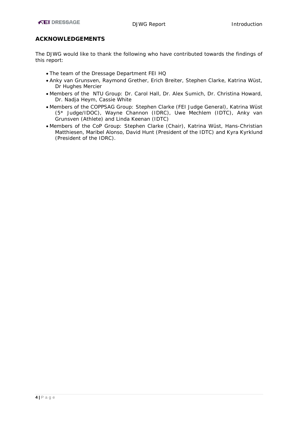#### <span id="page-4-0"></span>**ACKNOWLEDGEMENTS**

The DJWG would like to thank the following who have contributed towards the findings of this report:

- The team of the Dressage Department FEI HQ
- Anky van Grunsven, Raymond Grether, Erich Breiter, Stephen Clarke, Katrina Wüst, Dr Hughes Mercier
- Members of the NTU Group: Dr. Carol Hall, Dr. Alex Sumich, Dr. Christina Howard, Dr. Nadja Heym, Cassie White
- Members of the COPPSAG Group: Stephen Clarke (FEI Judge General), Katrina Wüst (5\* Judge/IDOC), Wayne Channon (IDRC), Uwe Mechlem (IDTC), Anky van Grunsven (Athlete) and Linda Keenan (IDTC)
- Members of the CoP Group: Stephen Clarke (Chair), Katrina Wüst, Hans-Christian Matthiesen, Maribel Alonso, David Hunt (President of the IDTC) and Kyra Kyrklund (President of the IDRC).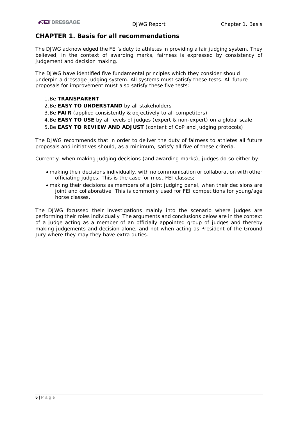## <span id="page-5-0"></span>**CHAPTER 1. Basis for all recommendations**

The DJWG acknowledged the FEI's duty to athletes in providing a fair judging system. They believed, in the context of awarding marks, fairness is expressed by consistency of judgement and decision making.

The DJWG have identified five fundamental principles which they consider should underpin a dressage judging system. All systems must satisfy these tests. All future proposals for improvement must also satisfy these five tests:

#### 1.Be **TRANSPARENT**

- 2.Be **EASY TO UNDERSTAND** by all stakeholders
- 3.Be **FAIR** (applied consistently & objectively to all competitors)
- 4.Be **EASY TO USE** by all levels of judges (expert & non-expert) on a global scale
- 5.Be **EASY TO REVIEW AND ADJUST** (content of CoP and judging protocols)

The DJWG recommends that in order to deliver the duty of fairness to athletes all future proposals and initiatives should, as a minimum, satisfy all five of these criteria.

Currently, when making judging decisions (and awarding marks), judges do so either by:

- making their decisions individually, with no communication or collaboration with other officiating judges. This is the case for most FEI classes;
- making their decisions as members of a joint judging panel, when their decisions are joint and collaborative. This is commonly used for FEI competitions for young/age horse classes.

The DJWG focussed their investigations mainly into the scenario where judges are performing their roles individually. The arguments and conclusions below are in the context of a judge acting as a member of an officially appointed group of judges and thereby making judgements and decision alone, and not when acting as President of the Ground Jury where they may they have extra duties.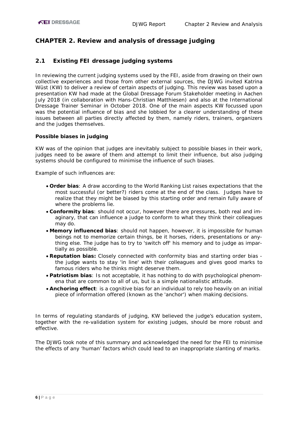## <span id="page-6-0"></span>**CHAPTER 2. Review and analysis of dressage judging**

## <span id="page-6-1"></span>**2.1 Existing FEI dressage judging systems**

In reviewing the current judging systems used by the FEI, aside from drawing on their own collective experiences and those from other external sources, the DJWG invited Katrina Wüst (KW) to deliver a review of certain aspects of judging. This review was based upon a presentation KW had made at the Global Dressage Forum Stakeholder meeting in Aachen July 2018 (in collaboration with Hans-Christian Matthiesen) and also at the International Dressage Trainer Seminar in October 2018. One of the main aspects KW focussed upon was the potential influence of bias and she lobbied for a clearer understanding of these issues between all parties directly affected by them, namely riders, trainers, organizers and the judges themselves.

#### **Possible biases in judging**

KW was of the opinion that judges are inevitably subject to possible biases in their work, judges need to be aware of them and attempt to limit their influence, but also judging systems should be configured to minimise the influence of such biases.

Example of such influences are:

- **Order bias**: A draw according to the World Ranking List raises expectations that the most successful (or better?) riders come at the end of the class. Judges have to realize that they might be biased by this starting order and remain fully aware of where the problems lie.
- **Conformity bias**: should not occur, however there are pressures, both real and imaginary, that can influence a judge to conform to what they think their colleagues may do.
- **Memory influenced bias**: should not happen, however, it is impossible for human beings not to memorize certain things, be it horses, riders, presentations or anything else. The judge has to try to 'switch off' his memory and to judge as impartially as possible.
- **Reputation bias:** Closely connected with conformity bias and starting order bias the judge wants to stay 'in line' with their colleagues and gives good marks to famous riders who he thinks might deserve them.
- **Patriotism bias**: Is not acceptable, it has nothing to do with psychological phenomena that are common to all of us, but is a simple nationalistic attitude.
- **Anchoring effect**: is a cognitive bias for an individual to rely too heavily on an initial piece of information offered (known as the 'anchor') when making decisions.

In terms of regulating standards of judging, KW believed the judge's education system, together with the re-validation system for existing judges, should be more robust and effective.

The DJWG took note of this summary and acknowledged the need for the FEI to minimise the effects of any 'human' factors which could lead to an inappropriate slanting of marks.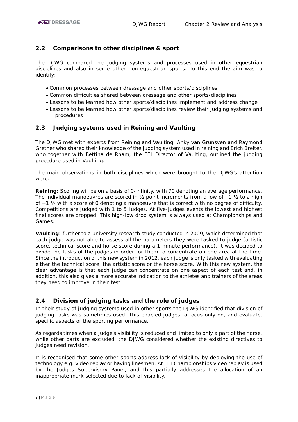## <span id="page-7-0"></span>**2.2 Comparisons to other disciplines & sport**

The DJWG compared the judging systems and processes used in other equestrian disciplines and also in some other non-equestrian sports. To this end the aim was to identify:

- Common processes between dressage and other sports/disciplines
- Common difficulties shared between dressage and other sports/disciplines
- Lessons to be learned how other sports/disciplines implement and address change
- Lessons to be learned how other sports/disciplines review their judging systems and procedures

#### <span id="page-7-1"></span>**2.3 Judging systems used in Reining and Vaulting**

The DJWG met with experts from Reining and Vaulting. Anky van Grunsven and Raymond Grether who shared their knowledge of the judging system used in reining and Erich Breiter, who together with Bettina de Rham, the FEI Director of Vaulting, outlined the judging procedure used in Vaulting.

The main observations in both disciplines which were brought to the DJWG's attention were:

**Reining:** Scoring will be on a basis of 0-infinity, with 70 denoting an average performance. The individual manoeuvres are scored in  $\frac{1}{2}$  point increments from a low of  $-1$   $\frac{1}{2}$  to a high of +1 ½ with a score of 0 denoting a manoeuvre that is correct with no degree of difficulty. Competitions are judged with 1 to 5 Judges. At five-judges events the lowest and highest final scores are dropped. This high-low drop system is always used at Championships and Games.

**Vaulting**: further to a university research study conducted in 2009, which determined that each judge was not able to assess all the parameters they were tasked to judge (artistic score, technical score and horse score during a 1-minute performance), it was decided to divide the tasks of the judges in order for them to concentrate on one area at the time. Since the introduction of this new system in 2012, each judge is only tasked with evaluating either the technical score, the artistic score or the horse score. With this new system, the clear advantage is that each judge can concentrate on one aspect of each test and, in addition, this also gives a more accurate indication to the athletes and trainers of the areas they need to improve in their test.

## <span id="page-7-2"></span>**2.4 Division of judging tasks and the role of judges**

In their study of judging systems used in other sports the DJWG identified that division of judging tasks was sometimes used. This enabled judges to focus only on, and evaluate, specific aspects of the sporting performance.

As regards times when a judge's visibility is reduced and limited to only a part of the horse, while other parts are excluded, the DJWG considered whether the existing directives to judges need revision.

It is recognised that some other sports address lack of visibility by deploying the use of technology e.g. video replay or having linesmen. At FEI Championships video replay is used by the Judges Supervisory Panel, and this partially addresses the allocation of an inappropriate mark selected due to lack of visibility.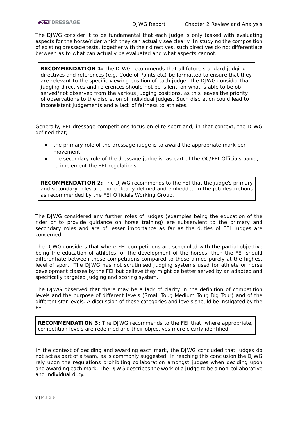The DJWG consider it to be fundamental that each judge is only tasked with evaluating aspects for the horse/rider which they can actually see clearly. In studying the composition of existing dressage tests, together with their directives, such directives do not differentiate between as to what can actually be evaluated and what aspects cannot.

**RECOMMENDATION 1:** The DJWG recommends that all future standard judging directives and references (e.g. Code of Points etc) be formatted to ensure that they are relevant to the specific viewing position of each judge. The DJWG consider that judging directives and references should not be 'silent' on what is able to be observed/not observed from the various judging positions, as this leaves the priority of observations to the discretion of individual judges. Such discretion could lead to inconsistent judgements and a lack of fairness to athletes.

Generally, FEI dressage competitions focus on elite sport and, in that context, the DJWG defined that;

- the primary role of the dressage judge is to award the appropriate mark per movement
- the secondary role of the dressage judge is, as part of the OC/FEI Officials panel, to implement the FEI regulations

**RECOMMENDATION 2:** The DJWG recommends to the FEI that the judge's primary and secondary roles are more clearly defined and embedded in the job descriptions as recommended by the FEI Officials Working Group.

The DJWG considered any further roles of judges (examples being the education of the rider or to provide guidance on horse training) are subservient to the primary and secondary roles and are of lesser importance as far as the duties of FEI judges are concerned.

The DJWG considers that where FEI competitions are scheduled with the partial objective being the education of athletes, or the development of the horses, then the FEI should differentiate between these competitions compared to those aimed purely at the highest level of sport. The DJWG has not scrutinised judging systems used for athlete or horse development classes by the FEI but believe they might be better served by an adapted and specifically targeted judging and scoring system.

The DJWG observed that there may be a lack of clarity in the definition of competition levels and the purpose of different levels (Small Tour, Medium Tour, Big Tour) and of the different star levels. A discussion of these categories and levels should be instigated by the FEI.

**RECOMMENDATION 3:** The DJWG recommends to the FEI that, where appropriate, competition levels are redefined and their objectives more clearly identified.

In the context of deciding and awarding each mark, the DJWG concluded that judges do not act as part of a team, as is commonly suggested. In reaching this conclusion the DJWG rely upon the regulations prohibiting collaboration amongst judges when deciding upon and awarding each mark. The DJWG describes the work of a judge to be a non-collaborative and individual duty.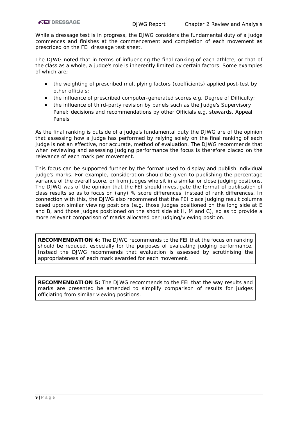While a dressage test is in progress, the DJWG considers the fundamental duty of a judge commences and finishes at the commencement and completion of each movement as prescribed on the FEI dressage test sheet.

The DJWG noted that in terms of influencing the final ranking of each athlete, or that of the class as a whole, a judge's role is inherently limited by certain factors. Some examples of which are;

- the weighting of prescribed multiplying factors (coefficients) applied post-test by other officials;
- the influence of prescribed computer-generated scores e.g. Degree of Difficulty;
- the influence of third-party revision by panels such as the Judge's Supervisory Panel; decisions and recommendations by other Officials e.g. stewards, Appeal Panels

As the final ranking is outside of a judge's fundamental duty the DJWG are of the opinion that assessing how a judge has performed by relying solely on the final ranking of each judge is not an effective, nor accurate, method of evaluation. The DJWG recommends that when reviewing and assessing judging performance the focus is therefore placed on the relevance of each mark per movement.

This focus can be supported further by the format used to display and publish individual judge's marks. For example, consideration should be given to publishing the percentage variance of the overall score, or from judges who sit in a similar or close judging positions. The DJWG was of the opinion that the FEI should investigate the format of publication of class results so as to focus on (any) % score differences, instead of rank differences. In connection with this, the DJWG also recommend that the FEI place judging result columns based upon similar viewing positions (e.g. those judges positioned on the long side at E and B, and those judges positioned on the short side at H, M and C), so as to provide a more relevant comparison of marks allocated per judging/viewing position.

**RECOMMENDATION 4:** The DJWG recommends to the FEI that the focus on ranking should be reduced, especially for the purposes of evaluating judging performance. Instead the DJWG recommends that evaluation is assessed by scrutinising the appropriateness of each mark awarded for each movement.

**RECOMMENDATION 5:** The DJWG recommends to the FEI that the way results and marks are presented be amended to simplify comparison of results for judges officiating from similar viewing positions.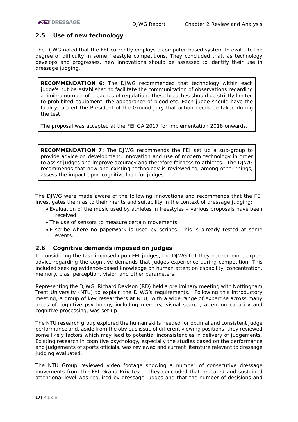#### <span id="page-10-0"></span>**2.5 Use of new technology**

The DJWG noted that the FEI currently employs a computer-based system to evaluate the degree of difficulty in some freestyle competitions. They concluded that, as technology develops and progresses, new innovations should be assessed to identify their use in dressage judging.

**RECOMMENDATION 6:** The DJWG recommended that technology within each judge's hut be established to facilitate the communication of observations regarding a limited number of breaches of regulation. These breaches should be strictly limited to prohibited equipment, the appearance of blood etc. Each judge should have the facility to alert the President of the Ground Jury that action needs be taken during the test.

*The proposal was accepted at the FEI GA 2017 for implementation 2018 onwards.*

**RECOMMENDATION 7:** The DJWG recommends the FEI set up a sub-group to provide advice on development, innovation and use of modern technology in order to assist judges and improve accuracy and therefore fairness to athletes. The DJWG recommends that new and existing technology is reviewed to, among other things, assess the impact upon cognitive load for judges

The DJWG were made aware of the following innovations and recommends that the FEI investigates them as to their merits and suitability in the context of dressage judging:

- Evaluation of the music used by athletes in freestyles various proposals have been received
- The use of sensors to measure certain movements.
- E-scribe where no paperwork is used by scribes. This is already tested at some events.

#### <span id="page-10-1"></span>**2.6 Cognitive demands imposed on judges**

In considering the task imposed upon FEI judges, the DJWG felt they needed more expert advice regarding the cognitive demands that judges experience during competition. This included seeking evidence-based knowledge on human attention capability, concentration, memory, bias, perception, vision and other parameters.

Representing the DJWG, Richard Davison (RD) held a preliminary meeting with Nottingham Trent University (NTU) to explain the DJWG's requirements. Following this introductory meeting, a group of key researchers at NTU; with a wide range of expertise across many areas of cognitive psychology including memory, visual search, attention capacity and cognitive processing, was set up.

The NTU research group explored the human skills needed for optimal and consistent judge performance and, aside from the obvious issue of different viewing positions, they reviewed some likely factors which may lead to potential inconsistencies in delivery of judgements. Existing research in cognitive psychology, especially the studies based on the performance and judgements of sports officials, was reviewed and current literature relevant to dressage judging evaluated.

The NTU Group reviewed video footage showing a number of consecutive dressage movements from the FEI Grand Prix test. They concluded that repeated and sustained attentional level was required by dressage judges and that the number of decisions and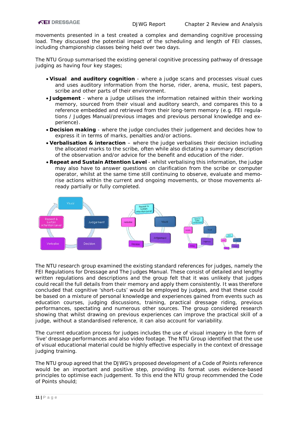movements presented in a test created a complex and demanding cognitive processing load. They discussed the potential impact of the scheduling and length of FEI classes, including championship classes being held over two days.

The NTU Group summarised the existing general cognitive processing pathway of dressage judging as having four key stages;

- **Visual and auditory cognition** where a judge scans and processes visual cues and uses auditory information from the horse, rider, arena, music, test papers, scribe and other parts of their environment.
- **Judgement**  where a judge utilises the information retained within their working memory, sourced from their visual and auditory search, and compares this to a reference embedded and retrieved from their long-term memory (e.g. FEI regulations / Judges Manual/previous images and previous personal knowledge and experience).
- **Decision making** where the judge concludes their judgement and decides how to express it in terms of marks, penalties and/or actions.
- **Verbalisation & interaction** where the judge verbalises their decision including the allocated marks to the scribe, often while also dictating a summary description of the observation and/or advice for the benefit and education of the rider.
- **Repeat and Sustain Attention Level** whilst verbalising this information, the judge may also have to answer questions on clarification from the scribe or computer operator, whilst at the same time still continuing to observe, evaluate and memorise actions within the current and ongoing movements, or those movements already partially or fully completed.



The NTU research group examined the existing standard references for judges, namely the FEI Regulations for Dressage and The Judges Manual. These consist of detailed and lengthy written regulations and descriptions and the group felt that it was unlikely that judges could recall the full details from their memory and apply them consistently. It was therefore concluded that cognitive 'short-cuts' would be employed by judges, and that these could be based on a mixture of personal knowledge and experiences gained from events such as education courses, judging discussions, training, practical dressage riding, previous performances, spectating and numerous other sources. The group considered research showing that whilst drawing on previous experiences can improve the practical skill of a judge, without a standardised reference, it can also account for variability.

The current education process for judges includes the use of visual imagery in the form of 'live' dressage performances and also video footage. The NTU Group identified that the use of visual educational material could be highly effective especially in the context of dressage judging training.

The NTU group agreed that the DJWG's proposed development of a Code of Points reference would be an important and positive step, providing its format uses evidence-based principles to optimise each judgement. To this end the NTU group recommended the Code of Points should;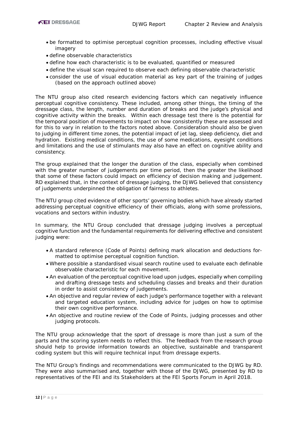- be formatted to optimise perceptual cognition processes, including effective visual imagery
- define observable characteristics
- define how each characteristic is to be evaluated, quantified or measured
- define the visual scan required to observe each defining observable characteristic
- consider the use of visual education material as key part of the training of judges (based on the approach outlined above)

The NTU group also cited research evidencing factors which can negatively influence perceptual cognitive consistency. These included, among other things, the timing of the dressage class, the length, number and duration of breaks and the judge's physical and cognitive activity within the breaks. Within each dressage test there is the potential for the temporal position of movements to impact on how consistently these are assessed and for this to vary in relation to the factors noted above. Consideration should also be given to judging in different time zones, the potential impact of jet lag, sleep deficiency, diet and hydration. Existing medical conditions, the use of some medications, eyesight conditions and limitations and the use of stimulants may also have an effect on cognitive ability and consistency.

The group explained that the longer the duration of the class, especially when combined with the greater number of judgements per time period, then the greater the likelihood that some of these factors could impact on efficiency of decision making and judgement. RD explained that, in the context of dressage judging, the DJWG believed that consistency of judgements underpinned the obligation of fairness to athletes.

The NTU group cited evidence of other sports' governing bodies which have already started addressing perceptual cognitive efficiency of their officials, along with some professions, vocations and sectors within industry.

In summary, the NTU Group concluded that dressage judging involves a perceptual cognitive function and the fundamental requirements for delivering effective and consistent judging were:

- A standard reference (Code of Points) defining mark allocation and deductions formatted to optimise perceptual cognition function.
- Where possible a standardised visual search routine used to evaluate each definable observable characteristic for each movement.
- An evaluation of the perceptual cognitive load upon judges, especially when compiling and drafting dressage tests and scheduling classes and breaks and their duration in order to assist consistency of judgements.
- An objective and regular review of each judge's performance together with a relevant and targeted education system, including advice for judges on how to optimise their own cognitive performance.
- An objective and routine review of the Code of Points, judging processes and other judging protocols.

The NTU group acknowledge that the sport of dressage is more than just a sum of the parts and the scoring system needs to reflect this. The feedback from the research group should help to provide information towards an objective, sustainable and transparent coding system but this will require technical input from dressage experts.

The NTU Group's findings and recommendations were communicated to the DJWG by RD. They were also summarised and, together with those of the DJWG, presented by RD to representatives of the FEI and its Stakeholders at the FEI Sports Forum in April 2018.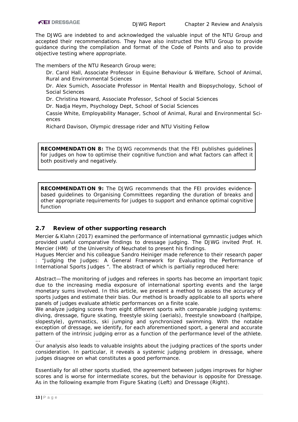The DJWG are indebted to and acknowledged the valuable input of the NTU Group and accepted their recommendations. They have also instructed the NTU Group to provide guidance during the compilation and format of the Code of Points and also to provide objective testing where appropriate.

The members of the NTU Research Group were;

Dr. Carol Hall, Associate Professor in Equine Behaviour & Welfare, School of Animal, Rural and Environmental Sciences

Dr. Alex Sumich, Associate Professor in Mental Health and Biopsychology, School of Social Sciences

Dr. Christina Howard, Associate Professor, School of Social Sciences

Dr. Nadja Heym, Psychology Dept, School of Social Sciences

Cassie White, Employability Manager, School of Animal, Rural and Environmental Sciences

Richard Davison, Olympic dressage rider and NTU Visiting Fellow

**RECOMMENDATION 8:** The DJWG recommends that the FEI publishes guidelines for judges on how to optimise their cognitive function and what factors can affect it both positively and negatively.

<span id="page-13-1"></span>**RECOMMENDATION 9:** The DJWG recommends that the FEI provides evidencebased guidelines to Organising Committees regarding the duration of breaks and other appropriate requirements for judges to support and enhance optimal cognitive function

## <span id="page-13-0"></span>**2.7 Review of other supporting research**

Mercier & Klahn (2017) examined the performance of international gymnastic judges which provided useful comparative findings to dressage judging. The DJWG invited Prof. H. Mercier (HM) of the University of Neuchatel to present his findings.

Hugues Mercier and his colleague Sandro Heiniger made reference to their research paper : "Judging the Judges: A General Framework for Evaluating the Performance of International Sports Judges ". The abstract of which is partially reproduced here:

*Abstract—The monitoring of judges and referees in sports has become an important topic due to the increasing media exposure of international sporting events and the large monetary sums involved. In this article, we present a method to assess the accuracy of sports judges and estimate their bias. Our method is broadly applicable to all sports where panels of judges evaluate athletic performances on a finite scale.* 

*We analyze judging scores from eight different sports with comparable judging systems: diving, dressage, figure skating, freestyle skiing (aerials), freestyle snowboard (halfpipe, slopestyle), gymnastics, ski jumping and synchronized swimming. With the notable exception of dressage, we identify, for each aforementioned sport, a general and accurate pattern of the intrinsic judging error as a function of the performance level of the athlete. …* 

*Our analysis also leads to valuable insights about the judging practices of the sports under consideration. In particular, it reveals a systemic judging problem in dressage, where judges disagree on what constitutes a good performance.*

Essentially for all other sports studied, the agreement between judges improves for higher scores and is worse for intermediate scores, but the behaviour is opposite for Dressage. As in the following example from Figure Skating (Left) and Dressage (Right).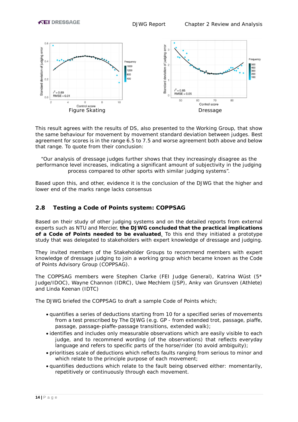

This result agrees with the results of DS, also presented to the Working Group, that show the same behaviour for movement by movement standard deviation between judges. Best agreement for scores is in the range 6.5 to 7.5 and worse agreement both above and below that range. To quote from their conclusion:

*"Our analysis of dressage judges further shows that they increasingly disagree as the performance level increases, indicating a significant amount of subjectivity in the judging process compared to other sports with similar judging systems*".

Based upon this, and other, evidence it is the conclusion of the DJWG that the higher and lower end of the marks range lacks consensus

#### <span id="page-14-0"></span>**2.8 Testing a Code of Points system: COPPSAG**

Based on their study of other judging systems and on the detailed reports from external experts such as NTU and Mercier, **the DJWG concluded that the practical implications of a Code of Points needed to be evaluated**. To this end they initiated a prototype study that was delegated to stakeholders with expert knowledge of dressage and judging.

They invited members of the Stakeholder Groups to recommend members with expert knowledge of dressage judging to join a working group which became known as the Code of Points Advisory Group (COPPSAG).

The COPPSAG members were Stephen Clarke (FEI Judge General), Katrina Wüst (5\* Judge/IDOC), Wayne Channon (IDRC), Uwe Mechlem (JSP), Anky van Grunsven (Athlete) and Linda Keenan (IDTC)

The DJWG briefed the COPPSAG to draft a sample Code of Points which;

- quantifies a series of deductions starting from 10 for a specified series of movements from a test prescribed by The DJWG (e.g. GP - from extended trot, passage, piaffe, passage, passage-piaffe-passage transitions, extended walk);
- identifies and includes only measurable observations which are easily visible to each judge, and to recommend wording (of the observations) that reflects everyday language and refers to specific parts of the horse/rider (to avoid ambiguity);
- prioritises scale of deductions which reflects faults ranging from serious to minor and which relate to the principle purpose of each movement;
- quantifies deductions which relate to the fault being observed either: momentarily, repetitively or continuously through each movement.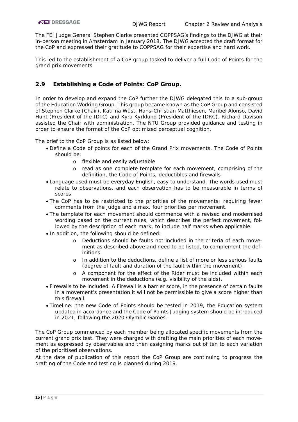The FEI Judge General Stephen Clarke presented COPPSAG's findings to the DJWG at their in-person meeting in Amsterdam in January 2018. The DJWG accepted the draft format for the CoP and expressed their gratitude to COPPSAG for their expertise and hard work.

This led to the establishment of a CoP group tasked to deliver a full Code of Points for the grand prix movements.

#### <span id="page-15-0"></span>**2.9 Establishing a Code of Points: CoP Group.**

In order to develop and expand the CoP further the DJWG delegated this to a sub-group of the Education Working Group. This group became known as the CoP Group and consisted of Stephen Clarke (Chair), Katrina Wüst, Hans-Christian Matthiesen, Maribel Alonso, David Hunt (President of the IDTC) and Kyra Kyrklund (President of the IDRC). Richard Davison assisted the Chair with administration. The NTU Group provided guidance and testing in order to ensure the format of the CoP optimized perceptual cognition.

The brief to the CoP Group is as listed below;

- Define a Code of points for each of the Grand Prix movements. The Code of Points should be:
	- o flexible and easily adjustable
	- o read as one complete template for each movement, comprising of the definition, the Code of Points, deductibles and firewalls
- Language used must be everyday English, easy to understand. The words used must relate to observations, and each observation has to be measurable in terms of scores
- The CoP has to be restricted to the priorities of the movements; requiring fewer comments from the judge and a max. four priorities per movement.
- The template for each movement should commence with a revised and modernised wording based on the current rules, which describes the perfect movement, followed by the description of each mark, to include half marks when applicable.
- In addition, the following should be defined:
	- o Deductions should be faults not included in the criteria of each movement as described above and need to be listed, to complement the definitions.
	- o In addition to the deductions, define a list of more or less serious faults (degree of fault and duration of the fault within the movement).
	- o A component for the effect of the Rider must be included within each movement in the deductions (e.g. visibility of the aids).
- Firewalls to be included. A Firewall is a barrier score, in the presence of certain faults in a movement's presentation it will not be permissible to give a score higher than this firewall.
- Timeline: the new Code of Points should be tested in 2019, the Education system updated in accordance and the Code of Points Judging system should be introduced in 2021, following the 2020 Olympic Games.

The CoP Group commenced by each member being allocated specific movements from the current grand prix test. They were charged with drafting the main priorities of each movement as expressed by observables and then assigning marks out of ten to each variation of the prioritised observations.

At the date of publication of this report the CoP Group are continuing to progress the drafting of the Code and testing is planned during 2019.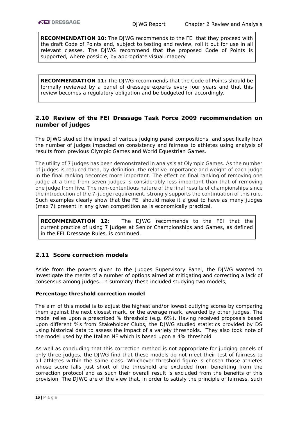**RECOMMENDATION 10:** The DJWG recommends to the FEI that they proceed with the draft Code of Points and, subject to testing and review, roll it out for use in all relevant classes. The DJWG recommend that the proposed Code of Points is supported, where possible, by appropriate visual imagery.

**RECOMMENDATION 11:** The DJWG recommends that the Code of Points should be formally reviewed by a panel of dressage experts every four years and that this review becomes a regulatory obligation and be budgeted for accordingly.

#### <span id="page-16-0"></span>**2.10 Review of the FEI Dressage Task Force 2009 recommendation on number of judges**

The DJWG studied the impact of various judging panel compositions, and specifically how the number of judges impacted on consistency and fairness to athletes using analysis of results from previous Olympic Games and World Equestrian Games.

The utility of 7 judges has been demonstrated in analysis at Olympic Games. As the number of judges is reduced then, by definition, the relative importance and weight of each judge in the final ranking becomes more important. The effect on final ranking of removing one judge at a time from seven judges is considerably less important than that of removing one judge from five. The non-contentious nature of the final results of championships since the introduction of the 7-judge requirement, strongly supports the continuation of this rule. Such examples clearly show that the FEI should make it a goal to have as many judges (max 7) present in any given competition as is economically practical.

**RECOMMENDATION 12:** The DJWG recommends to the FEI that the current practice of using 7 judges at Senior Championships and Games, as defined in the FEI Dressage Rules, is continued.

#### <span id="page-16-1"></span>**2.11 Score correction models**

Aside from the powers given to the Judges Supervisory Panel, the DJWG wanted to investigate the merits of a number of options aimed at mitigating and correcting a lack of consensus among judges. In summary these included studying two models;

#### **Percentage threshold correction model**

The aim of this model is to adjust the highest and/or lowest outlying scores by comparing them against the next closest mark, or the average mark, awarded by other judges. The model relies upon a prescribed % threshold (e.g. 6%). Having received proposals based upon different %s from Stakeholder Clubs, the DJWG studied statistics provided by DS using historical data to assess the impact of a variety thresholds. They also took note of the model used by the Italian NF which is based upon a 4% threshold

As well as concluding that this correction method is not appropriate for judging panels of only three judges, the DJWG find that these models do not meet their test of fairness to all athletes within the same class. Whichever threshold figure is chosen those athletes whose score falls just short of the threshold are excluded from benefiting from the correction protocol and as such their overall result is excluded from the benefits of this provision. The DJWG are of the view that, in order to satisfy the principle of fairness, such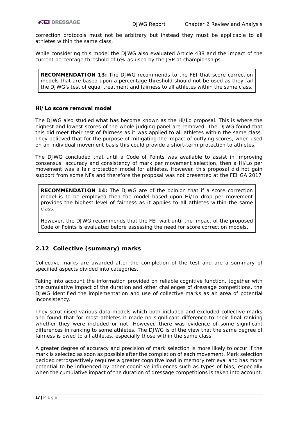correction protocols must not be arbitrary but instead they must be applicable to all athletes within the same class.

While considering this model the DJWG also evaluated Article 438 and the impact of the current percentage threshold of 6% as used by the JSP at championships.

**RECOMMENDATION 13:** The DJWG recommends to the FEI that score correction models that are based upon a percentage threshold should not be used as they fail the DJWG's test of equal treatment and fairness to all athletes within the same class.

#### **Hi/Lo score removal model**

The DJWG also studied what has become known as the Hi/Lo proposal. This is where the highest and lowest scores of the whole judging panel are removed. The DJWG found that this did meet their test of fairness as it was applied to all athletes within the same class. They believed that for the purpose of mitigating the impact of outlying scores, when used on an individual movement basis this could provide a short-term protection to athletes.

The DJWG concluded that until a Code of Points was available to assist in improving consensus, accuracy and consistency of mark per movement selection, then a Hi/Lo per movement was a fair protection model for athletes. However, this proposal did not gain support from some NFs and therefore the proposal was not presented at the FEI GA 2017

**RECOMMENDATION 14:** The DJWG are of the opinion that if a score correction model is to be employed then the model based upon Hi/Lo drop per movement provides the highest level of fairness as it applies to all athletes within the same class.

*However, the DJWG recommends that the FEI wait until the impact of the proposed Code of Points is evaluated before assessing the need for score correction models.*

## <span id="page-17-0"></span>**2.12 Collective (summary) marks**

Collective marks are awarded after the completion of the test and are a summary of specified aspects divided into categories.

Taking into account the information provided on reliable cognitive function, together with the cumulative impact of the duration and other challenges of dressage competitions, the DJWG identified the implementation and use of collective marks as an area of potential inconsistency.

They scrutinised various data models which both included and excluded collective marks and found that for most athletes it made no significant difference to their final ranking whether they were included or not. However, there was evidence of some significant differences in ranking to some athletes. The DJWG is of the view that the same degree of fairness is owed to all athletes, especially those within the same class.

A greater degree of accuracy and precision of mark selection is more likely to occur if the mark is selected as soon as possible after the completion of each movement. Mark selection decided retrospectively requires a greater cognitive load in memory retrieval and has more potential to be influenced by other cognitive influences such as types of bias, especially when the cumulative impact of the duration of dressage competitions is taken into account.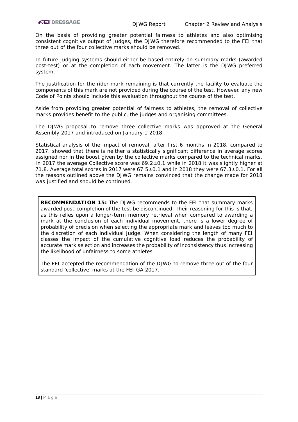On the basis of providing greater potential fairness to athletes and also optimising consistent cognitive output of judges, the DJWG therefore recommended to the FEI that three out of the four collective marks should be removed.

In future judging systems should either be based entirely on summary marks (awarded post-test) or at the completion of each movement. The latter is the DJWG preferred system.

The justification for the rider mark remaining is that currently the facility to evaluate the components of this mark are not provided during the course of the test. However, any new Code of Points should include this evaluation throughout the course of the test.

Aside from providing greater potential of fairness to athletes, the removal of collective marks provides benefit to the public, the judges and organising committees.

The DJWG proposal to remove three collective marks was approved at the General Assembly 2017 and introduced on January 1 2018.

Statistical analysis of the impact of removal, after first 6 months in 2018, compared to 2017, showed that there is neither a statistically significant difference in average scores assigned nor in the boost given by the collective marks compared to the technical marks. In 2017 the average Collective score was  $69.2 \pm 0.1$  while in 2018 it was slightly higher at 71.8. Average total scores in 2017 were  $67.5 \pm 0.1$  and in 2018 they were  $67.3 \pm 0.1$ . For all the reasons outlined above the DJWG remains convinced that the change made for 2018 was justified and should be continued.

**RECOMMENDATION 15:** The DJWG recommends to the FEI that summary marks awarded post-completion of the test be discontinued. Their reasoning for this is that, as this relies upon a longer-term memory retrieval when compared to awarding a mark at the conclusion of each individual movement, there is a lower degree of probability of precision when selecting the appropriate mark and leaves too much to the discretion of each individual judge. When considering the length of many FEI classes the impact of the cumulative cognitive load reduces the probability of accurate mark selection and increases the probability of inconsistency thus increasing the likelihood of unfairness to some athletes.

*The FEI accepted the recommendation of the DJWG to remove three out of the four standard 'collective' marks at the FEI GA 2017.*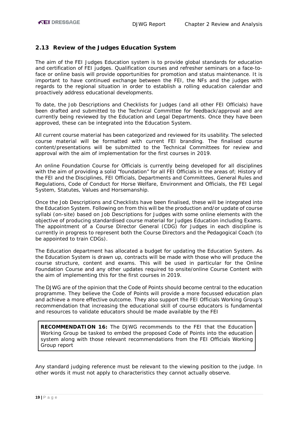#### <span id="page-19-0"></span>**2.13 Review of the Judges Education System**

The aim of the FEI Judges Education system is to provide global standards for education and certification of FEI judges. Qualification courses and refresher seminars on a face-toface or online basis will provide opportunities for promotion and status maintenance. It is important to have continued exchange between the FEI, the NFs and the judges with regards to the regional situation in order to establish a rolling education calendar and proactively address educational developments.

To date, the Job Descriptions and Checklists for Judges (and all other FEI Officials) have been drafted and submitted to the Technical Committee for feedback/approval and are currently being reviewed by the Education and Legal Departments. Once they have been approved, these can be integrated into the Education System.

All current course material has been categorized and reviewed for its usability. The selected course material will be formatted with current FEI branding. The finalised course content/presentations will be submitted to the Technical Committees for review and approval with the aim of implementation for the first courses in 2019.

An online Foundation Course for Officials is currently being developed for all disciplines with the aim of providing a solid "foundation" for all FEI Officials in the areas of; History of the FEI and the Disciplines, FEI Officials, Departments and Committees, General Rules and Regulations, Code of Conduct for Horse Welfare, Environment and Officials, the FEI Legal System, Statutes, Values and Horsemanship.

Once the Job Descriptions and Checklists have been finalised, these will be integrated into the Education System. Following on from this will be the production and/or update of course syllabi (on-site) based on Job Descriptions for Judges with some online elements with the objective of producing standardised course material for Judges Education including Exams. The appointment of a Course Director General (CDG) for Judges in each discipline is currently in progress to represent both the Course Directors and the Pedagogical Coach (to be appointed to train CDGs).

The Education department has allocated a budget for updating the Education System. As the Education System is drawn up, contracts will be made with those who will produce the course structure, content and exams. This will be used in particular for the Online Foundation Course and any other updates required to onsite/online Course Content with the aim of implementing this for the first courses in 2019.

The DJWG are of the opinion that the Code of Points should become central to the education programme. They believe the Code of Points will provide a more focussed education plan and achieve a more effective outcome. They also support the FEI Officials Working Group's recommendation that increasing the educational skill of course educators is fundamental and resources to validate educators should be made available by the FEI

**RECOMMENDATION 16:** The DJWG recommends to the FEI that the Education Working Group be tasked to embed the proposed Code of Points into the education system along with those relevant recommendations from the FEI Officials Working Group report

Any standard judging reference must be relevant to the viewing position to the judge. In other words it must not apply to characteristics they cannot actually observe.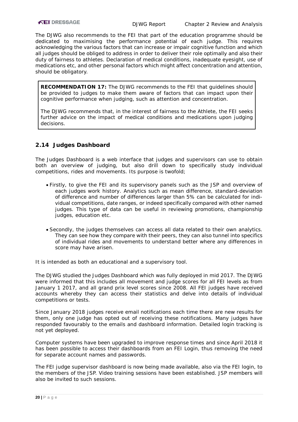The DJWG also recommends to the FEI that part of the education programme should be dedicated to maximising the performance potential of each judge. This requires acknowledging the various factors that can increase or impair cognitive function and which all judges should be obliged to address in order to deliver their role optimally and also their duty of fairness to athletes. Declaration of medical conditions, inadequate eyesight, use of medications etc, and other personal factors which might affect concentration and attention, should be obligatory.

**RECOMMENDATION 17:** The DJWG recommends to the FEI that guidelines should be provided to judges to make them aware of factors that can impact upon their cognitive performance when judging, such as attention and concentration.

The DJWG recommends that, in the interest of fairness to the Athlete, the FEI seeks further advice on the impact of medical conditions and medications upon judging decisions.

#### <span id="page-20-0"></span>**2.14 Judges Dashboard**

The Judges Dashboard is a web interface that judges and supervisors can use to obtain both an overview of judging, but also drill down to specifically study individual competitions, rides and movements. Its purpose is twofold;

- Firstly, to give the FEI and its supervisory panels such as the JSP and overview of each judges work history. Analytics such as mean difference, standard-deviation of difference and number of differences larger than 5% can be calculated for individual competitions, date ranges, or indeed specifically compared with other named judges. This type of data can be useful in reviewing promotions, championship judges, education etc.
- Secondly, the judges themselves can access all data related to their own analytics. They can see how they compare with their peers, they can also tunnel into specifics of individual rides and movements to understand better where any differences in score may have arisen.

It is intended as both an educational and a supervisory tool.

The DJWG studied the Judges Dashboard which was fully deployed in mid 2017. The DJWG were informed that this includes all movement and judge scores for all FEI levels as from January 1 2017, and all grand prix level scores since 2008. All FEI judges have received accounts whereby they can access their statistics and delve into details of individual competitions or tests.

Since January 2018 judges receive email notifications each time there are new results for them, only one judge has opted out of receiving these notifications. Many judges have responded favourably to the emails and dashboard information. Detailed login tracking is not yet deployed.

Computer systems have been upgraded to improve response times and since April 2018 it has been possible to access their dashboards from an FEI Login, thus removing the need for separate account names and passwords.

The FEI judge supervisor dashboard is now being made available, also via the FEI login, to the members of the JSP. Video training sessions have been established. JSP members will also be invited to such sessions.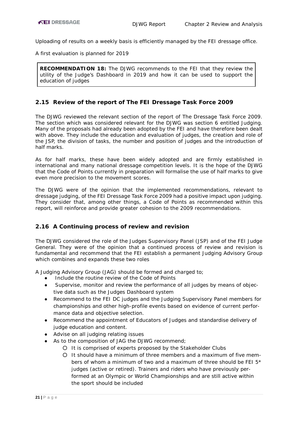Uploading of results on a weekly basis is efficiently managed by the FEI dressage office.

A first evaluation is planned for 2019

**RECOMMENDATION 18:** The DJWG recommends to the FEI that they review the utility of the Judge's Dashboard in 2019 and how it can be used to support the education of judges

## <span id="page-21-0"></span>**2.15 Review of the report of The FEI Dressage Task Force 2009**

The DJWG reviewed the relevant section of the report of The Dressage Task Force 2009. The section which was considered relevant for the DJWG was section 6 entitled Judging. Many of the proposals had already been adopted by the FEI and have therefore been dealt with above. They include the education and evaluation of judges, the creation and role of the JSP, the division of tasks, the number and position of judges and the introduction of half marks.

As for half marks, these have been widely adopted and are firmly established in international and many national dressage competition levels. It is the hope of the DJWG that the Code of Points currently in preparation will formalise the use of half marks to give even more precision to the movement scores.

The DJWG were of the opinion that the implemented recommendations, relevant to dressage judging, of the FEI Dressage Task Force 2009 had a positive impact upon judging. They consider that, among other things, a Code of Points as recommended within this report, will reinforce and provide greater cohesion to the 2009 recommendations.

#### <span id="page-21-1"></span>**2.16 A Continuing process of review and revision**

The DJWG considered the role of the Judges Supervisory Panel (JSP) and of the FEI Judge General. They were of the opinion that a continued process of review and revision is fundamental and recommend that the FEI establish a permanent Judging Advisory Group which combines and expands these two roles

A Judging Advisory Group (JAG) should be formed and charged to;

- Include the routine review of the Code of Points
- Supervise, monitor and review the performance of all judges by means of objective data such as the Judges Dashboard system
- Recommend to the FEI DC judges and the Judging Supervisory Panel members for championships and other high-profile events based on evidence of current performance data and objective selection.
- Recommend the appointment of Educators of Judges and standardise delivery of judge education and content.
- Advise on all judging relating issues
- As to the composition of JAG the DJWG recommend;
	- It is comprised of experts proposed by the Stakeholder Clubs
	- It should have a minimum of three members and a maximum of five members of whom a minimum of two and a maximum of three should be FEI  $5*$ judges (active or retired). Trainers and riders who have previously performed at an Olympic or World Championships and are still active within the sport should be included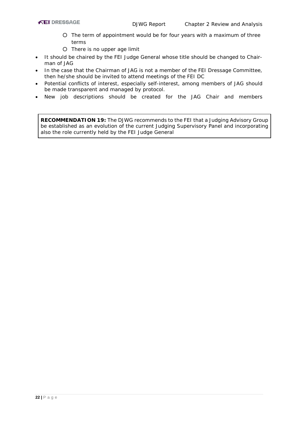- The term of appointment would be for four years with a maximum of three terms
- There is no upper age limit
- It should be chaired by the FEI Judge General whose title should be changed to Chairman of JAG
- In the case that the Chairman of JAG is not a member of the FEI Dressage Committee, then he/she should be invited to attend meetings of the FEI DC
- Potential conflicts of interest, especially self-interest, among members of JAG should be made transparent and managed by protocol.
- New job descriptions should be created for the JAG Chair and members

**RECOMMENDATION 19:** The DJWG recommends to the FEI that a Judging Advisory Group be established as an evolution of the current Judging Supervisory Panel and incorporating also the role currently held by the FEI Judge General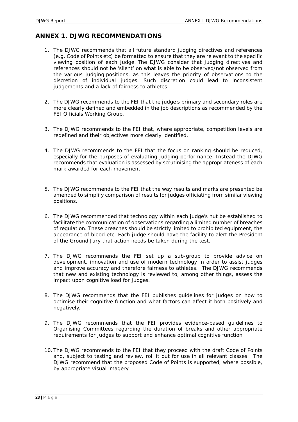## <span id="page-23-0"></span>**ANNEX 1. DJWG RECOMMENDATIONS**

- 1. The DJWG recommends that all future standard judging directives and references (e.g. Code of Points etc) be formatted to ensure that they are relevant to the specific viewing position of each judge. The DJWG consider that judging directives and references should not be 'silent' on what is able to be observed/not observed from the various judging positions, as this leaves the priority of observations to the discretion of individual judges. Such discretion could lead to inconsistent judgements and a lack of fairness to athletes.
- 2. The DJWG recommends to the FEI that the judge's primary and secondary roles are more clearly defined and embedded in the job descriptions as recommended by the FEI Officials Working Group.
- 3. The DJWG recommends to the FEI that, where appropriate, competition levels are redefined and their objectives more clearly identified.
- 4. The DJWG recommends to the FEI that the focus on ranking should be reduced, especially for the purposes of evaluating judging performance. Instead the DJWG recommends that evaluation is assessed by scrutinising the appropriateness of each mark awarded for each movement.
- 5. The DJWG recommends to the FEI that the way results and marks are presented be amended to simplify comparison of results for judges officiating from similar viewing positions.
- 6. The DJWG recommended that technology within each judge's hut be established to facilitate the communication of observations regarding a limited number of breaches of regulation. These breaches should be strictly limited to prohibited equipment, the appearance of blood etc. Each judge should have the facility to alert the President of the Ground Jury that action needs be taken during the test.
- 7. The DJWG recommends the FEI set up a sub-group to provide advice on development, innovation and use of modern technology in order to assist judges and improve accuracy and therefore fairness to athletes. The DJWG recommends that new and existing technology is reviewed to, among other things, assess the impact upon cognitive load for judges.
- 8. The DJWG recommends that the FEI publishes guidelines for judges on how to optimise their cognitive function and what factors can affect it both positively and negatively.
- 9. [The DJWG recommends that the FEI provides evidence-based guidelines to](#page-13-1)  [Organising Committees regarding the duration of breaks and other appropriate](#page-13-1)  [requirements for judges to support and enhance optimal cognitive function](#page-13-1)
- 10. The DJWG recommends to the FEI that they proceed with the draft Code of Points and, subject to testing and review, roll it out for use in all relevant classes. The DJWG recommend that the proposed Code of Points is supported, where possible, by appropriate visual imagery.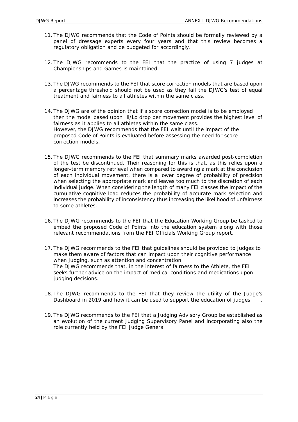- 11. The DJWG recommends that the Code of Points should be formally reviewed by a panel of dressage experts every four years and that this review becomes a regulatory obligation and be budgeted for accordingly.
- 12. The DJWG recommends to the FEI that the practice of using 7 judges at Championships and Games is maintained.
- 13. The DJWG recommends to the FEI that score correction models that are based upon a percentage threshold should not be used as they fail the DJWG's test of equal treatment and fairness to all athletes within the same class.
- 14. The DJWG are of the opinion that if a score correction model is to be employed then the model based upon Hi/Lo drop per movement provides the highest level of fairness as it applies to all athletes within the same class. However, the DJWG recommends that the FEI wait until the impact of the proposed Code of Points is evaluated before assessing the need for score correction models.
- 15. The DJWG recommends to the FEI that summary marks awarded post-completion of the test be discontinued. Their reasoning for this is that, as this relies upon a longer-term memory retrieval when compared to awarding a mark at the conclusion of each individual movement, there is a lower degree of probability of precision when selecting the appropriate mark and leaves too much to the discretion of each individual judge. When considering the length of many FEI classes the impact of the cumulative cognitive load reduces the probability of accurate mark selection and increases the probability of inconsistency thus increasing the likelihood of unfairness to some athletes.
- 16. The DJWG recommends to the FEI that the Education Working Group be tasked to embed the proposed Code of Points into the education system along with those relevant recommendations from the FEI Officials Working Group report.
- 17. The DJWG recommends to the FEI that guidelines should be provided to judges to make them aware of factors that can impact upon their cognitive performance when judging, such as attention and concentration. The DJWG recommends that, in the interest of fairness to the Athlete, the FEI seeks further advice on the impact of medical conditions and medications upon judging decisions.
- 18. The DJWG recommends to the FEI that they review the utility of the Judge's Dashboard in 2019 and how it can be used to support the education of judges
- 19. The DJWG recommends to the FEI that a Judging Advisory Group be established as an evolution of the current Judging Supervisory Panel and incorporating also the role currently held by the FEI Judge General